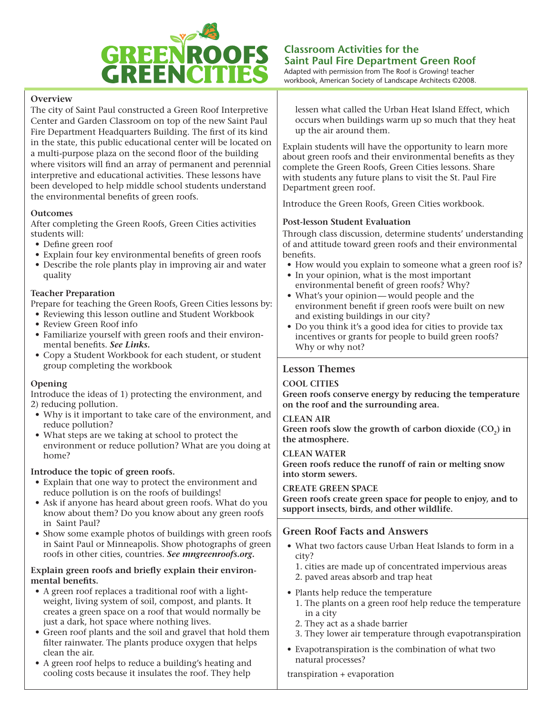

# **Overview**

The city of Saint Paul constructed a Green Roof Interpretive Center and Garden Classroom on top of the new Saint Paul Fire Department Headquarters Building. The first of its kind in the state, this public educational center will be located on a multi-purpose plaza on the second floor of the building where visitors will find an array of permanent and perennial interpretive and educational activities. These lessons have been developed to help middle school students understand the environmental benefits of green roofs.

# **Outcomes**

After completing the Green Roofs, Green Cities activities students will:

- Define green roof
- Explain four key environmental benefits of green roofs
- Describe the role plants play in improving air and water quality

## **Teacher Preparation**

Prepare for teaching the Green Roofs, Green Cities lessons by:

- Reviewing this lesson outline and Student Workbook
- Review Green Roof info
- Familiarize yourself with green roofs and their environmental benefits. *See Links.*
- Copy a Student Workbook for each student, or student group completing the workbook

#### **Opening**

Introduce the ideas of 1) protecting the environment, and 2) reducing pollution.

- Why is it important to take care of the environment, and reduce pollution?
- What steps are we taking at school to protect the environment or reduce pollution? What are you doing at home?

#### **Introduce the topic of green roofs.**

- Explain that one way to protect the environment and reduce pollution is on the roofs of buildings!
- Ask if anyone has heard about green roofs. What do you know about them? Do you know about any green roofs in Saint Paul?
- Show some example photos of buildings with green roofs in Saint Paul or Minneapolis. Show photographs of green roofs in other cities, countries. *See mngreenroofs.org.*

#### **Explain green roofs and briefly explain their environmental benefits.**

- A green roof replaces a traditional roof with a lightweight, living system of soil, compost, and plants. It creates a green space on a roof that would normally be just a dark, hot space where nothing lives.
- Green roof plants and the soil and gravel that hold them filter rainwater. The plants produce oxygen that helps clean the air.
- A green roof helps to reduce a building's heating and cooling costs because it insulates the roof. They help

Adapted with permission from The Roof is Growing! teacher workbook, American Society of Landscape Architects ©2008.

lessen what called the Urban Heat Island Effect, which occurs when buildings warm up so much that they heat up the air around them.

Explain students will have the opportunity to learn more about green roofs and their environmental benefits as they complete the Green Roofs, Green Cities lessons. Share with students any future plans to visit the St. Paul Fire Department green roof.

Introduce the Green Roofs, Green Cities workbook.

# **Post-lesson Student Evaluation**

Through class discussion, determine students' understanding of and attitude toward green roofs and their environmental benefits.

- How would you explain to someone what a green roof is?
- In your opinion, what is the most important environmental benefit of green roofs? Why?
- What's your opinion—would people and the environment benefit if green roofs were built on new and existing buildings in our city?
- Do you think it's a good idea for cities to provide tax incentives or grants for people to build green roofs? Why or why not?

# **Lesson Themes**

#### **COOL CITIES**

**Green roofs conserve energy by reducing the temperature on the roof and the surrounding area.**

# **CLEAN AIR**

Green roofs slow the growth of carbon dioxide (CO<sub>2</sub>) in **the atmosphere.**

#### **CLEAN WATER**

**Green roofs reduce the runoff of rain or melting snow into storm sewers.**

#### **CREATE GREEN SPACE**

**Green roofs create green space for people to enjoy, and to support insects, birds, and other wildlife.**

# **Green Roof Facts and Answers**

- What two factors cause Urban Heat Islands to form in a city?
	- 1. cities are made up of concentrated impervious areas
	- 2. paved areas absorb and trap heat
- Plants help reduce the temperature
	- 1. The plants on a green roof help reduce the temperature in a city
	- 2. They act as a shade barrier
	- 3. They lower air temperature through evapotranspiration
- Evapotranspiration is the combination of what two natural processes?

## transpiration + evaporation